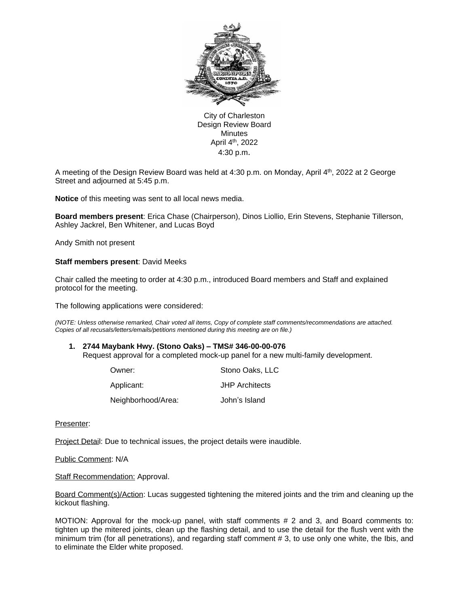

City of Charleston Design Review Board **Minutes** April 4th, 2022 4:30 p.m.

A meeting of the Design Review Board was held at 4:30 p.m. on Monday, April 4th, 2022 at 2 George Street and adjourned at 5:45 p.m.

**Notice** of this meeting was sent to all local news media.

**Board members present**: Erica Chase (Chairperson), Dinos Liollio, Erin Stevens, Stephanie Tillerson, Ashley Jackrel, Ben Whitener, and Lucas Boyd

Andy Smith not present

### **Staff members present**: David Meeks

Chair called the meeting to order at 4:30 p.m., introduced Board members and Staff and explained protocol for the meeting.

The following applications were considered:

*(NOTE: Unless otherwise remarked, Chair voted all items, Copy of complete staff comments/recommendations are attached. Copies of all recusals/letters/emails/petitions mentioned during this meeting are on file.)* 

#### **1. 2744 Maybank Hwy. (Stono Oaks) – TMS# 346-00-00-076**

Request approval for a completed mock-up panel for a new multi-family development.

| Owner:             | Stono Oaks, LLC       |
|--------------------|-----------------------|
| Applicant:         | <b>JHP</b> Architects |
| Neighborhood/Area: | John's Island         |

Presenter:

Project Detail: Due to technical issues, the project details were inaudible.

Public Comment: N/A

**Staff Recommendation: Approval.** 

Board Comment(s)/Action: Lucas suggested tightening the mitered joints and the trim and cleaning up the kickout flashing.

MOTION: Approval for the mock-up panel, with staff comments # 2 and 3, and Board comments to: tighten up the mitered joints, clean up the flashing detail, and to use the detail for the flush vent with the minimum trim (for all penetrations), and regarding staff comment # 3, to use only one white, the Ibis, and to eliminate the Elder white proposed.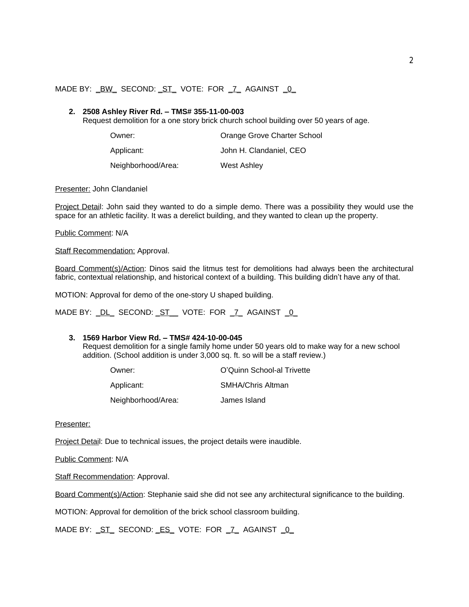## MADE BY: <u>BW</u> SECOND: ST\_VOTE: FOR \_7\_ AGAINST \_0\_

#### **2. 2508 Ashley River Rd. – TMS# 355-11-00-003**

Request demolition for a one story brick church school building over 50 years of age.

| Owner:             | Orange Grove Charter School |
|--------------------|-----------------------------|
| Applicant:         | John H. Clandaniel, CEO     |
| Neighborhood/Area: | West Ashley                 |

Presenter: John Clandaniel

Project Detail: John said they wanted to do a simple demo. There was a possibility they would use the space for an athletic facility. It was a derelict building, and they wanted to clean up the property.

Public Comment: N/A

Staff Recommendation: Approval.

Board Comment(s)/Action: Dinos said the litmus test for demolitions had always been the architectural fabric, contextual relationship, and historical context of a building. This building didn't have any of that.

MOTION: Approval for demo of the one-story U shaped building.

MADE BY: \_DL\_ SECOND: \_ST\_\_ VOTE: FOR \_7\_ AGAINST \_0\_

#### **3. 1569 Harbor View Rd. – TMS# 424-10-00-045**

Request demolition for a single family home under 50 years old to make way for a new school addition. (School addition is under 3,000 sq. ft. so will be a staff review.)

| Owner:             | O'Quinn School-al Trivette |
|--------------------|----------------------------|
| Applicant:         | <b>SMHA/Chris Altman</b>   |
| Neighborhood/Area: | James Island               |

Presenter:

Project Detail: Due to technical issues, the project details were inaudible.

Public Comment: N/A

**Staff Recommendation: Approval.** 

Board Comment(s)/Action: Stephanie said she did not see any architectural significance to the building.

MOTION: Approval for demolition of the brick school classroom building.

MADE BY: ST\_SECOND: ES\_VOTE: FOR \_7\_AGAINST \_0\_